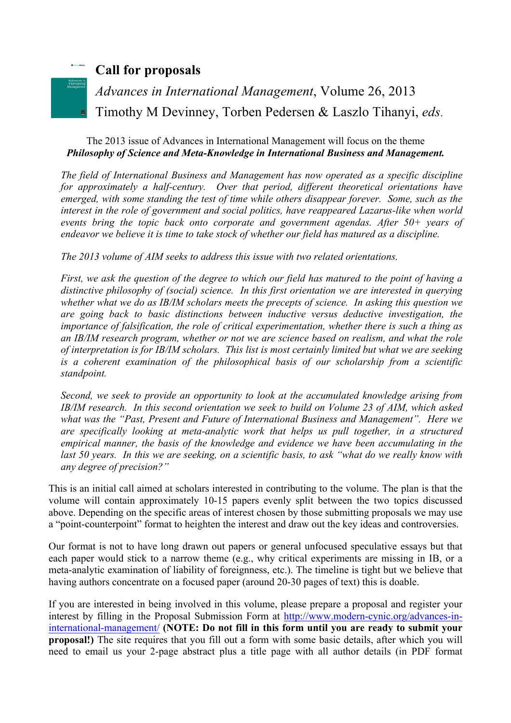## **Call for proposals**

*Advances in International Management*, Volume 26, 2013 Timothy M Devinney, Torben Pedersen & Laszlo Tihanyi, *eds*.

## The 2013 issue of Advances in International Management will focus on the theme *Philosophy of Science and Meta-Knowledge in International Business and Management.*

*The field of International Business and Management has now operated as a specific discipline for approximately a half-century. Over that period, different theoretical orientations have emerged, with some standing the test of time while others disappear forever. Some, such as the interest in the role of government and social politics, have reappeared Lazarus-like when world events bring the topic back onto corporate and government agendas. After 50+ years of endeavor we believe it is time to take stock of whether our field has matured as a discipline.* 

*The 2013 volume of AIM seeks to address this issue with two related orientations.* 

*First, we ask the question of the degree to which our field has matured to the point of having a distinctive philosophy of (social) science. In this first orientation we are interested in querying whether what we do as IB/IM scholars meets the precepts of science. In asking this question we are going back to basic distinctions between inductive versus deductive investigation, the importance of falsification, the role of critical experimentation, whether there is such a thing as an IB/IM research program, whether or not we are science based on realism, and what the role of interpretation is for IB/IM scholars. This list is most certainly limited but what we are seeking is a coherent examination of the philosophical basis of our scholarship from a scientific standpoint.*

*Second, we seek to provide an opportunity to look at the accumulated knowledge arising from IB/IM research. In this second orientation we seek to build on Volume 23 of AIM, which asked what was the "Past, Present and Future of International Business and Management". Here we are specifically looking at meta-analytic work that helps us pull together, in a structured empirical manner, the basis of the knowledge and evidence we have been accumulating in the*  last 50 years. In this we are seeking, on a scientific basis, to ask "what do we really know with *any degree of precision?"*

This is an initial call aimed at scholars interested in contributing to the volume. The plan is that the volume will contain approximately 10-15 papers evenly split between the two topics discussed above. Depending on the specific areas of interest chosen by those submitting proposals we may use a "point-counterpoint" format to heighten the interest and draw out the key ideas and controversies.

Our format is not to have long drawn out papers or general unfocused speculative essays but that each paper would stick to a narrow theme (e.g., why critical experiments are missing in IB, or a meta-analytic examination of liability of foreignness, etc.). The timeline is tight but we believe that having authors concentrate on a focused paper (around 20-30 pages of text) this is doable.

If you are interested in being involved in this volume, please prepare a proposal and register your interest by filling in the Proposal Submission Form at http://www.modern-cynic.org/advances-ininternational-management/ **(NOTE: Do not fill in this form until you are ready to submit your proposal!)** The site requires that you fill out a form with some basic details, after which you will need to email us your 2-page abstract plus a title page with all author details (in PDF format